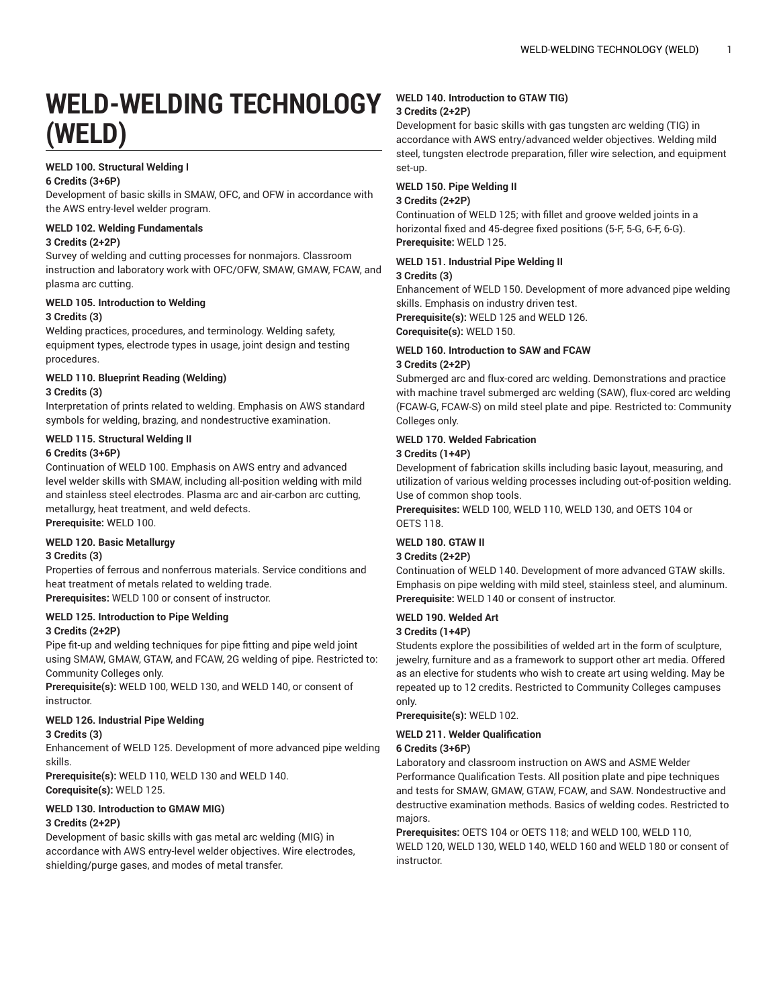# **WELD-WELDING TECHNOLOGY (WELD)**

# **WELD 100. Structural Welding I**

#### **6 Credits (3+6P)**

Development of basic skills in SMAW, OFC, and OFW in accordance with the AWS entry-level welder program.

#### **WELD 102. Welding Fundamentals 3 Credits (2+2P)**

Survey of welding and cutting processes for nonmajors. Classroom instruction and laboratory work with OFC/OFW, SMAW, GMAW, FCAW, and plasma arc cutting.

# **WELD 105. Introduction to Welding**

# **3 Credits (3)**

Welding practices, procedures, and terminology. Welding safety, equipment types, electrode types in usage, joint design and testing procedures.

# **WELD 110. Blueprint Reading (Welding)**

# **3 Credits (3)**

Interpretation of prints related to welding. Emphasis on AWS standard symbols for welding, brazing, and nondestructive examination.

#### **WELD 115. Structural Welding II 6 Credits (3+6P)**

Continuation of WELD 100. Emphasis on AWS entry and advanced level welder skills with SMAW, including all-position welding with mild and stainless steel electrodes. Plasma arc and air-carbon arc cutting, metallurgy, heat treatment, and weld defects. **Prerequisite:** WELD 100.

## **WELD 120. Basic Metallurgy**

#### **3 Credits (3)**

Properties of ferrous and nonferrous materials. Service conditions and heat treatment of metals related to welding trade. **Prerequisites:** WELD 100 or consent of instructor.

# **WELD 125. Introduction to Pipe Welding**

## **3 Credits (2+2P)**

Pipe fit-up and welding techniques for pipe fitting and pipe weld joint using SMAW, GMAW, GTAW, and FCAW, 2G welding of pipe. Restricted to: Community Colleges only.

**Prerequisite(s):** WELD 100, WELD 130, and WELD 140, or consent of instructor.

## **WELD 126. Industrial Pipe Welding**

#### **3 Credits (3)**

Enhancement of WELD 125. Development of more advanced pipe welding skills.

**Prerequisite(s):** WELD 110, WELD 130 and WELD 140. **Corequisite(s):** WELD 125.

#### **WELD 130. Introduction to GMAW MIG)**

#### **3 Credits (2+2P)**

Development of basic skills with gas metal arc welding (MIG) in accordance with AWS entry-level welder objectives. Wire electrodes, shielding/purge gases, and modes of metal transfer.

#### **WELD 140. Introduction to GTAW TIG) 3 Credits (2+2P)**

Development for basic skills with gas tungsten arc welding (TIG) in accordance with AWS entry/advanced welder objectives. Welding mild steel, tungsten electrode preparation, filler wire selection, and equipment set-up.

# **WELD 150. Pipe Welding II**

# **3 Credits (2+2P)**

Continuation of WELD 125; with fillet and groove welded joints in a horizontal fixed and 45-degree fixed positions (5-F, 5-G, 6-F, 6-G). **Prerequisite:** WELD 125.

# **WELD 151. Industrial Pipe Welding II**

#### **3 Credits (3)**

Enhancement of WELD 150. Development of more advanced pipe welding skills. Emphasis on industry driven test.

**Prerequisite(s):** WELD 125 and WELD 126.

**Corequisite(s):** WELD 150.

## **WELD 160. Introduction to SAW and FCAW 3 Credits (2+2P)**

Submerged arc and flux-cored arc welding. Demonstrations and practice with machine travel submerged arc welding (SAW), flux-cored arc welding (FCAW-G, FCAW-S) on mild steel plate and pipe. Restricted to: Community Colleges only.

# **WELD 170. Welded Fabrication**

# **3 Credits (1+4P)**

Development of fabrication skills including basic layout, measuring, and utilization of various welding processes including out-of-position welding. Use of common shop tools.

**Prerequisites:** WELD 100, WELD 110, WELD 130, and OETS 104 or OETS 118.

## **WELD 180. GTAW II**

#### **3 Credits (2+2P)**

Continuation of WELD 140. Development of more advanced GTAW skills. Emphasis on pipe welding with mild steel, stainless steel, and aluminum. **Prerequisite:** WELD 140 or consent of instructor.

# **WELD 190. Welded Art**

## **3 Credits (1+4P)**

Students explore the possibilities of welded art in the form of sculpture, jewelry, furniture and as a framework to support other art media. Offered as an elective for students who wish to create art using welding. May be repeated up to 12 credits. Restricted to Community Colleges campuses only.

**Prerequisite(s):** WELD 102.

## **WELD 211. Welder Qualification**

# **6 Credits (3+6P)**

Laboratory and classroom instruction on AWS and ASME Welder Performance Qualification Tests. All position plate and pipe techniques and tests for SMAW, GMAW, GTAW, FCAW, and SAW. Nondestructive and destructive examination methods. Basics of welding codes. Restricted to majors.

**Prerequisites:** OETS 104 or OETS 118; and WELD 100, WELD 110, WELD 120, WELD 130, WELD 140, WELD 160 and WELD 180 or consent of instructor.